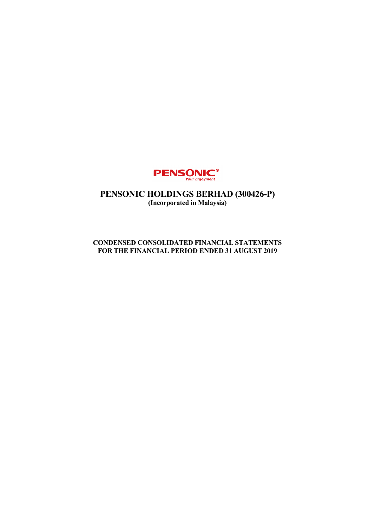

# **PENSONIC HOLDINGS BERHAD (300426-P) (Incorporated in Malaysia)**

## **CONDENSED CONSOLIDATED FINANCIAL STATEMENTS FOR THE FINANCIAL PERIOD ENDED 31 AUGUST 2019**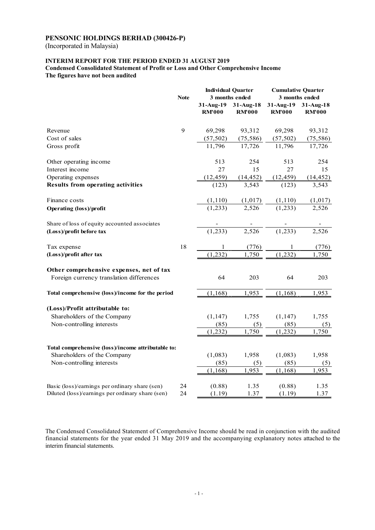(Incorporated in Malaysia)

### **INTERIM REPORT FOR THE PERIOD ENDED 31 AUGUST 2019**

**Condensed Consolidated Statement of Profit or Loss and Other Comprehensive Income The figures have not been audited** 

|                                                    | <b>Note</b> | <b>Individual Quarter</b><br>3 months ended |                            | <b>Cumulative Quarter</b><br>3 months ended |                            |
|----------------------------------------------------|-------------|---------------------------------------------|----------------------------|---------------------------------------------|----------------------------|
|                                                    |             | 31-Aug-19<br><b>RM'000</b>                  | 31-Aug-18<br><b>RM'000</b> | 31-Aug-19<br><b>RM'000</b>                  | 31-Aug-18<br><b>RM'000</b> |
| Revenue                                            | 9           | 69,298                                      | 93,312                     | 69,298                                      | 93,312                     |
| Cost of sales                                      |             | (57, 502)                                   | (75, 586)                  | (57, 502)                                   | (75, 586)                  |
| Gross profit                                       |             | 11,796                                      | 17,726                     | 11,796                                      | 17,726                     |
| Other operating income                             |             | 513                                         | 254                        | 513                                         | 254                        |
| Interest income                                    |             | 27                                          | 15                         | 27                                          | 15                         |
| Operating expenses                                 |             | (12, 459)                                   | (14, 452)                  | (12, 459)                                   | (14, 452)                  |
| <b>Results from operating activities</b>           |             | (123)                                       | 3,543                      | (123)                                       | 3,543                      |
| Finance costs                                      |             | (1,110)                                     | (1,017)                    | (1, 110)                                    | (1,017)                    |
| <b>Operating (loss)/profit</b>                     |             | (1,233)                                     | 2,526                      | (1, 233)                                    | 2,526                      |
| Share of loss of equity accounted associates       |             |                                             |                            |                                             |                            |
| (Loss)/profit before tax                           |             | (1,233)                                     | 2,526                      | (1,233)                                     | 2,526                      |
| Tax expense                                        | 18          | $\mathbf{1}$                                | (776)                      | $\mathbf{1}$                                | (776)                      |
| (Loss)/profit after tax                            |             | (1,232)                                     | 1,750                      | (1, 232)                                    | 1,750                      |
| Other comprehensive expenses, net of tax           |             |                                             |                            |                                             |                            |
| Foreign currency translation differences           |             | 64                                          | 203                        | 64                                          | 203                        |
| Total comprehensive (loss)/income for the period   |             | (1, 168)                                    | 1,953                      | (1, 168)                                    | 1,953                      |
| (Loss)/Profit attributable to:                     |             |                                             |                            |                                             |                            |
| Shareholders of the Company                        |             | (1, 147)                                    | 1,755                      | (1, 147)                                    | 1,755                      |
| Non-controlling interests                          |             | (85)                                        | (5)                        | (85)                                        | (5)                        |
|                                                    |             | (1, 232)                                    | 1,750                      | (1, 232)                                    | 1,750                      |
| Total comprehensive (loss)/income attributable to: |             |                                             |                            |                                             |                            |
| Shareholders of the Company                        |             | (1,083)                                     | 1,958                      | (1,083)                                     | 1,958                      |
| Non-controlling interests                          |             | (85)                                        | (5)                        | (85)                                        | (5)                        |
|                                                    |             | (1, 168)                                    | 1,953                      | (1, 168)                                    | 1,953                      |
| Basic (loss)/earnings per ordinary share (sen)     | 24          | (0.88)                                      | 1.35                       | (0.88)                                      | 1.35                       |
| Diluted (loss)/earnings per ordinary share (sen)   | 24          | (1.19)                                      | 1.37                       | (1.19)                                      | 1.37                       |

The Condensed Consolidated Statement of Comprehensive Income should be read in conjunction with the audited financial statements for the year ended 31 May 2019 and the accompanying explanatory notes attached to the interim financial statements.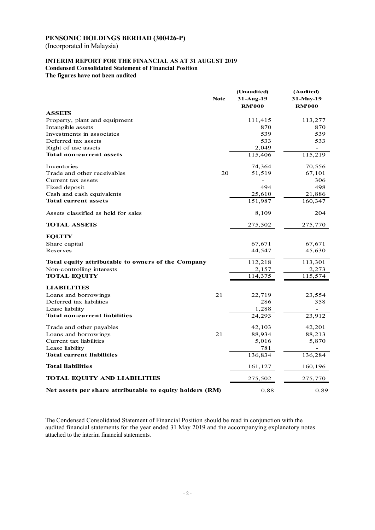(Incorporated in Malaysia)

### **INTERIM REPORT FOR THE FINANCIAL AS AT 31 AUGUST 2019 Condensed Consolidated Statement of Financial Position**

**The figures have not been audited** 

|                                                          | <b>Note</b> | (Unaudited)<br>31-Aug-19<br><b>RM'000</b> | (Audited)<br>31-May-19<br><b>RM'000</b> |
|----------------------------------------------------------|-------------|-------------------------------------------|-----------------------------------------|
| <b>ASSETS</b>                                            |             |                                           |                                         |
| Property, plant and equipment                            |             | 111,415                                   | 113,277                                 |
| Intangible assets                                        |             | 870                                       | 870                                     |
| Investments in associates                                |             | 539                                       | 539                                     |
| Deferred tax assets                                      |             | 533                                       | 533                                     |
| Right of use assets                                      |             | 2.049                                     |                                         |
| Total non-current assets                                 |             | 115,406                                   | 115,219                                 |
| Inventories                                              |             | 74,364                                    | 70,556                                  |
| Trade and other receivables                              | 20          | 51,519                                    | 67,101                                  |
| Current tax assets                                       |             |                                           | 306                                     |
| Fixed deposit                                            |             | 494                                       | 498                                     |
| Cash and cash equivalents                                |             | 25,610                                    | 21,886                                  |
| <b>Total current assets</b>                              |             | 151,987                                   | 160,347                                 |
| Assets classified as held for sales                      |             | 8,109                                     | 204                                     |
| <b>TOTAL ASSETS</b>                                      |             | 275,502                                   | 275,770                                 |
| <b>EQUITY</b>                                            |             |                                           |                                         |
| Share capital                                            |             | 67,671                                    | 67,671                                  |
| Reserves                                                 |             | 44,547                                    | 45,630                                  |
| Total equity attributable to owners of the Company       |             | 112,218                                   | 113,301                                 |
| Non-controlling interests                                |             | 2,157                                     | 2,273                                   |
| <b>TOTAL EQUITY</b>                                      |             | 114,375                                   | 115,574                                 |
| <b>LIABILITIES</b>                                       |             |                                           |                                         |
| Loans and borrowings                                     | 21          | 22,719                                    | 23,554                                  |
| Deferred tax liabilities                                 |             | 286                                       | 358                                     |
| Lease liability                                          |             | 1,288                                     |                                         |
| <b>Total non-current liabilities</b>                     |             | 24,293                                    | 23,912                                  |
| Trade and other payables                                 |             | 42,103                                    | 42,201                                  |
| Loans and borrowings                                     | 21          | 88,934                                    | 88,213                                  |
| Current tax liabilities                                  |             | 5,016                                     | 5,870                                   |
| Lease liability                                          |             | 781                                       |                                         |
| <b>Total current liabilities</b>                         |             | 136,834                                   | 136,284                                 |
| <b>Total liabilities</b>                                 |             | 161,127                                   | 160,196                                 |
| <b>TOTAL EQUITY AND LIABILITIES</b>                      |             | 275,502                                   | 275,770                                 |
| Net assets per share attributable to equity holders (RM) |             | 0.88                                      | 0.89                                    |

The Condensed Consolidated Statement of Financial Position should be read in conjunction with the audited financial statements for the year ended 31 May 2019 and the accompanying explanatory notes attached to the interim financial statements.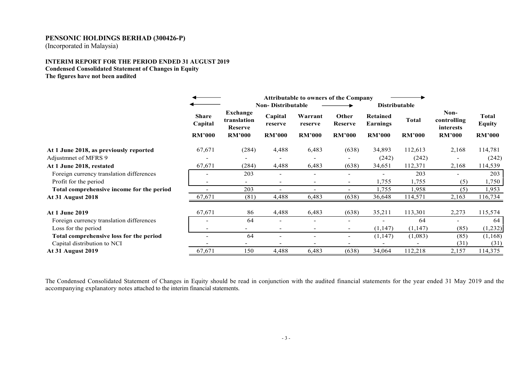(Incorporated in Malaysia)

### **INTERIM REPORT FOR THE PERIOD ENDED 31 AUGUST 2019 Condensed Consolidated Statement of Changes in Equity The figures have not been audited**

|                                           |                          | <b>Attributable to owners of the Company</b> |                          |                          |                          |                             |               |                                  |                               |
|-------------------------------------------|--------------------------|----------------------------------------------|--------------------------|--------------------------|--------------------------|-----------------------------|---------------|----------------------------------|-------------------------------|
|                                           |                          | <b>Non-Distributable</b>                     |                          |                          |                          | <b>Distributable</b>        |               |                                  |                               |
|                                           | <b>Share</b><br>Capital  | Exchange<br>translation<br>Reserve           | Capital<br>reserve       | Warrant<br>reserve       | Other<br><b>Reserve</b>  | <b>Retained</b><br>Earnings | <b>Total</b>  | Non-<br>controlling<br>interests | <b>Total</b><br><b>Equity</b> |
|                                           | <b>RM'000</b>            | <b>RM'000</b>                                | <b>RM'000</b>            | <b>RM'000</b>            | <b>RM'000</b>            | <b>RM'000</b>               | <b>RM'000</b> | <b>RM'000</b>                    | <b>RM'000</b>                 |
| At 1 June 2018, as previously reported    | 67,671                   | (284)                                        | 4,488                    | 6,483                    | (638)                    | 34,893                      | 112,613       | 2,168                            | 114,781                       |
| Adjustment of MFRS 9                      |                          |                                              | -                        |                          |                          | (242)                       | (242)         |                                  | (242)                         |
| At 1 June 2018, restated                  | 67,671                   | (284)                                        | 4,488                    | 6,483                    | (638)                    | 34,651                      | 112,371       | 2,168                            | 114,539                       |
| Foreign currency translation differences  |                          | 203                                          | $\overline{\phantom{a}}$ |                          |                          |                             | 203           |                                  | 203                           |
| Profit for the period                     | $\overline{\phantom{a}}$ | $\overline{\phantom{0}}$                     | $\overline{\phantom{a}}$ | $\overline{\phantom{0}}$ | $\overline{\phantom{0}}$ | 1,755                       | 1,755         | (5)                              | 1,750                         |
| Total comprehensive income for the period |                          | 203                                          | $\overline{\phantom{a}}$ | $\overline{\phantom{a}}$ | $\overline{\phantom{a}}$ | 1,755                       | 1,958         | (5)                              | 1,953                         |
| <b>At 31 August 2018</b>                  | 67,671                   | (81)                                         | 4,488                    | 6,483                    | (638)                    | 36,648                      | 114,571       | 2,163                            | 116,734                       |
| <b>At 1 June 2019</b>                     | 67,671                   | 86                                           | 4,488                    | 6,483                    | (638)                    | 35,211                      | 113,301       | 2,273                            | 115,574                       |
| Foreign currency translation differences  | $\overline{\phantom{a}}$ | 64                                           | $\blacksquare$           | $\overline{\phantom{0}}$ |                          |                             | 64            | $\overline{\phantom{0}}$         | 64                            |
| Loss for the period                       | $\overline{\phantom{a}}$ | $\overline{\phantom{0}}$                     | $\overline{\phantom{a}}$ | $\overline{\phantom{0}}$ | $\overline{\phantom{0}}$ | (1, 147)                    | (1, 147)      | (85)                             | (1,232)                       |
| Total comprehensive loss for the period   | $\overline{\phantom{0}}$ | 64                                           | $\overline{\phantom{a}}$ | $\overline{\phantom{0}}$ |                          | (1, 147)                    | (1,083)       | (85)                             | (1,168)                       |
| Capital distribution to NCI               |                          |                                              |                          |                          |                          |                             |               | (31)                             | (31)                          |
| <b>At 31 August 2019</b>                  | 67,671                   | 150                                          | 4,488                    | 6,483                    | (638)                    | 34,064                      | 112,218       | 2,157                            | 114,375                       |

The Condensed Consolidated Statement of Changes in Equity should be read in conjunction with the audited financial statements for the year ended 31 May 2019 and the accompanying explanatory notes attached to the interim fi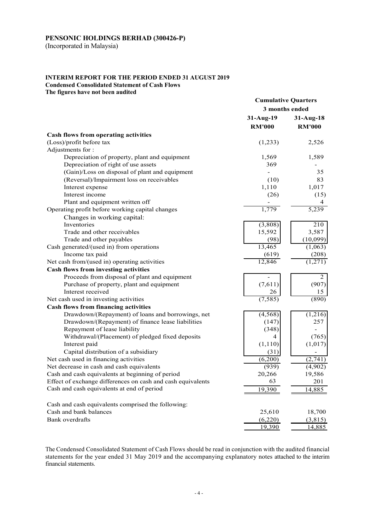(Incorporated in Malaysia)

## **INTERIM REPORT FOR THE PERIOD ENDED 31 AUGUST 2019 Condensed Consolidated Statement of Cash Flows**

**The figures have not been audited** 

|                                                             | <b>Cumulative Quarters</b>   |               |
|-------------------------------------------------------------|------------------------------|---------------|
|                                                             | 3 months ended               |               |
|                                                             | 31-Aug-19                    | $31-Aug-18$   |
|                                                             | <b>RM'000</b>                | <b>RM'000</b> |
| Cash flows from operating activities                        |                              |               |
| (Loss)/profit before tax                                    | (1,233)                      | 2,526         |
| Adjustments for:                                            |                              |               |
| Depreciation of property, plant and equipment               | 1,569                        | 1,589         |
| Depreciation of right of use assets                         | 369                          |               |
| (Gain)/Loss on disposal of plant and equipment              |                              | 35            |
| (Reversal)/Impairment loss on receivables                   | (10)                         | 83            |
| Interest expense                                            | 1,110                        | 1,017         |
| Interest income                                             | (26)                         | (15)          |
| Plant and equipment written off                             |                              | 4             |
| Operating profit before working capital changes             | 1,779                        | 5,239         |
|                                                             |                              |               |
| Changes in working capital:<br>Inventories                  | (3,808)                      | 210           |
| Trade and other receivables                                 | 15,592                       | 3,587         |
| Trade and other payables                                    | (98)                         | (10,099)      |
| Cash generated/(used in) from operations                    | 13,465                       | (1,063)       |
| Income tax paid                                             | (619)                        | (208)         |
| Net cash from/(used in) operating activities                | 12,846                       | (1,271)       |
| Cash flows from investing activities                        |                              |               |
| Proceeds from disposal of plant and equipment               |                              | 2             |
| Purchase of property, plant and equipment                   | $\qquad \qquad -$<br>(7,611) | (907)         |
| Interest received                                           | 26                           | 15            |
| Net cash used in investing activities                       | (7, 585)                     | (890)         |
| <b>Cash flows from financing activities</b>                 |                              |               |
| Drawdown/(Repayment) of loans and borrowings, net           | (4, 568)                     | (1,216)       |
| Drawdown/(Repayment) of finance lease liabilities           | (147)                        | 257           |
| Repayment of lease liability                                | (348)                        |               |
| Withdrawal/(Placement) of pledged fixed deposits            | 4                            | (765)         |
| Interest paid                                               | (1,110)                      | (1,017)       |
| Capital distribution of a subsidiary                        | (31)                         |               |
| Net cash used in financing activities                       | (6,200)                      | (2,741)       |
| Net decrease in cash and cash equivalents                   | (939)                        | (4,902)       |
| Cash and cash equivalents at beginning of period            | 20,266                       | 19,586        |
| Effect of exchange differences on cash and cash equivalents | 63                           | 201           |
| Cash and cash equivalents at end of period                  |                              |               |
|                                                             | 19,390                       | 14,885        |
| Cash and cash equivalents comprised the following:          |                              |               |
| Cash and bank balances                                      | 25,610                       | 18,700        |
| Bank overdrafts                                             | (6,220)                      | (3,815)       |
|                                                             | 19,390                       | 14,885        |

The Condensed Consolidated Statement of Cash Flows should be read in conjunction with the audited financial statements for the year ended 31 May 2019 and the accompanying explanatory notes attached to the interim financial statements.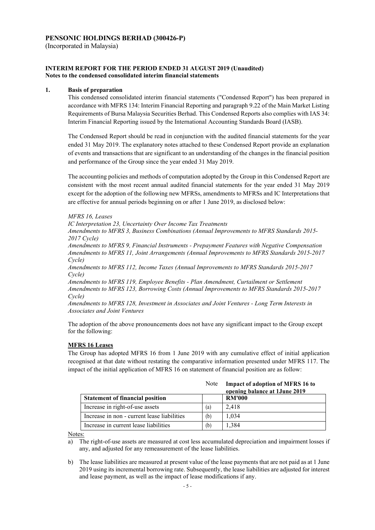(Incorporated in Malaysia)

### **INTERIM REPORT FOR THE PERIOD ENDED 31 AUGUST 2019 (Unaudited) Notes to the condensed consolidated interim financial statements**

### **1. Basis of preparation**

This condensed consolidated interim financial statements ("Condensed Report") has been prepared in accordance with MFRS 134: Interim Financial Reporting and paragraph 9.22 of the Main Market Listing Requirements of Bursa Malaysia Securities Berhad. This Condensed Reports also complies with IAS 34: Interim Financial Reporting issued by the International Accounting Standards Board (IASB).

The Condensed Report should be read in conjunction with the audited financial statements for the year ended 31 May 2019. The explanatory notes attached to these Condensed Report provide an explanation of events and transactions that are significant to an understanding of the changes in the financial position and performance of the Group since the year ended 31 May 2019.

The accounting policies and methods of computation adopted by the Group in this Condensed Report are consistent with the most recent annual audited financial statements for the year ended 31 May 2019 except for the adoption of the following new MFRSs, amendments to MFRSs and IC Interpretations that are effective for annual periods beginning on or after 1 June 2019, as disclosed below:

### *MFRS 16, Leases*

*IC Interpretation 23, Uncertainty Over Income Tax Treatments* 

*Amendments to MFRS 3, Business Combinations (Annual Improvements to MFRS Standards 2015- 2017 Cycle)* 

*Amendments to MFRS 9, Financial Instruments - Prepayment Features with Negative Compensation Amendments to MFRS 11, Joint Arrangements (Annual Improvements to MFRS Standards 2015-2017 Cycle)* 

*Amendments to MFRS 112, Income Taxes (Annual Improvements to MFRS Standards 2015-2017 Cycle)* 

*Amendments to MFRS 119, Employee Benefits - Plan Amendment, Curtailment or Settlement Amendments to MFRS 123, Borrowing Costs (Annual Improvements to MFRS Standards 2015-2017 Cycle)* 

*Amendments to MFRS 128, Investment in Associates and Joint Ventures - Long Term Interests in Associates and Joint Ventures* 

The adoption of the above pronouncements does not have any significant impact to the Group except for the following:

### **MFRS 16 Leases**

The Group has adopted MFRS 16 from 1 June 2019 with any cumulative effect of initial application recognised at that date without restating the comparative information presented under MFRS 117. The impact of the initial application of MFRS 16 on statement of financial position are as follow:

|                                             | Note | Impact of adoption of MFRS 16 to<br>opening balance at 1 June 2019 |
|---------------------------------------------|------|--------------------------------------------------------------------|
| <b>Statement of financial position</b>      |      | <b>RM'000</b>                                                      |
| Increase in right-of-use assets             | (a)  | 2.418                                                              |
| Increase in non - current lease liabilities | (b)  | 1.034                                                              |
| Increase in current lease liabilities       | (b)  | 1,384                                                              |

Notes:

a) The right-of-use assets are measured at cost less accumulated depreciation and impairment losses if any, and adjusted for any remeasurement of the lease liabilities.

b) The lease liabilities are measured at present value of the lease payments that are not paid as at 1 June 2019 using its incremental borrowing rate. Subsequently, the lease liabilities are adjusted for interest and lease payment, as well as the impact of lease modifications if any.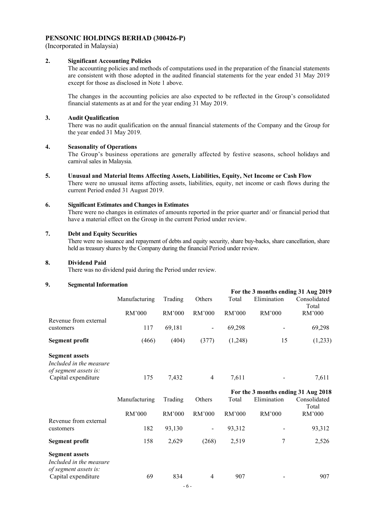(Incorporated in Malaysia)

### **2. Significant Accounting Policies**

The accounting policies and methods of computations used in the preparation of the financial statements are consistent with those adopted in the audited financial statements for the year ended 31 May 2019 except for those as disclosed in Note 1 above.

The changes in the accounting policies are also expected to be reflected in the Group's consolidated financial statements as at and for the year ending 31 May 2019.

### **3. Audit Qualification**

There was no audit qualification on the annual financial statements of the Company and the Group for the year ended 31 May 2019.

### **4. Seasonality of Operations**

The Group's business operations are generally affected by festive seasons, school holidays and carnival sales in Malaysia.

**5. Unusual and Material Items Affecting Assets, Liabilities, Equity, Net Income or Cash Flow**  There were no unusual items affecting assets, liabilities, equity, net income or cash flows during the current Period ended 31 August 2019.

### **6. Significant Estimates and Changes in Estimates**

There were no changes in estimates of amounts reported in the prior quarter and/ or financial period that have a material effect on the Group in the current Period under review.

#### **7. Debt and Equity Securities**

There were no issuance and repayment of debts and equity security, share buy-backs, share cancellation, share held as treasury shares by the Company during the financial Period under review.

#### **8. Dividend Paid**

There was no dividend paid during the Period under review.

#### **9. Segmental Information**

|                                                                                                  |               |         |                          |         | For the 3 months ending 31 Aug 2019                |                       |
|--------------------------------------------------------------------------------------------------|---------------|---------|--------------------------|---------|----------------------------------------------------|-----------------------|
|                                                                                                  | Manufacturing | Trading | Others                   | Total   | Elimination                                        | Consolidated<br>Total |
|                                                                                                  | RM'000        | RM'000  | RM'000                   | RM'000  | RM'000                                             | RM'000                |
| Revenue from external<br>customers                                                               | 117           | 69,181  | $\blacksquare$           | 69,298  |                                                    | 69,298                |
| <b>Segment profit</b>                                                                            | (466)         | (404)   | (377)                    | (1,248) | 15                                                 | (1,233)               |
| <b>Segment assets</b><br>Included in the measure<br>of segment assets is:<br>Capital expenditure | 175           | 7,432   | $\overline{4}$           | 7,611   |                                                    | 7,611                 |
|                                                                                                  |               |         |                          |         |                                                    |                       |
|                                                                                                  |               |         |                          |         |                                                    |                       |
|                                                                                                  | Manufacturing | Trading | Others                   | Total   | For the 3 months ending 31 Aug 2018<br>Elimination | Consolidated          |
|                                                                                                  | RM'000        | RM'000  | RM'000                   | RM'000  | RM'000                                             | Total<br>RM'000       |
| Revenue from external<br>customers                                                               | 182           | 93,130  | $\overline{\phantom{a}}$ | 93,312  |                                                    | 93,312                |
| <b>Segment profit</b>                                                                            | 158           | 2,629   | (268)                    | 2,519   | 7                                                  | 2,526                 |
| <b>Segment assets</b><br>Included in the measure<br>of segment assets is:<br>Capital expenditure | 69            | 834     | $\overline{4}$           | 907     |                                                    | 907                   |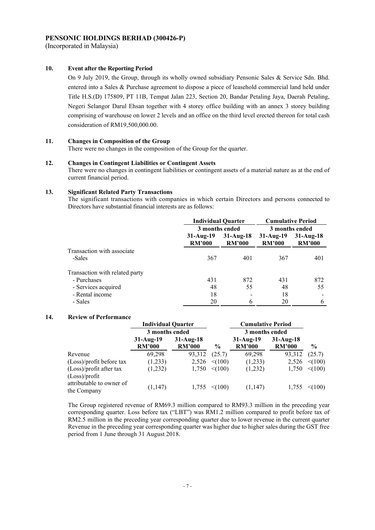(Incorporated in Malaysia)

### **10. Event after the Reporting Period**

On 9 July 2019, the Group, through its wholly owned subsidiary Pensonic Sales & Service Sdn. Bhd. entered into a Sales & Purchase agreement to dispose a piece of leasehold commercial land held under Title H.S.(D) 175809, PT 11B, Tempat Jalan 223, Section 20, Bandar Petaling Jaya, Daerah Petaling, Negeri Selangor Darul Ehsan together with 4 storey office building with an annex 3 storey building comprising of warehouse on lower 2 levels and an office on the third level erected thereon for total cash consideration of RM19,500,000.00.

### **11. Changes in Composition of the Group**

There were no changes in the composition of the Group for the quarter.

#### **12. Changes in Contingent Liabilities or Contingent Assets**

There were no changes in contingent liabilities or contingent assets of a material nature as at the end of current financial period.

#### **13. Significant Related Party Transactions**

The significant transactions with companies in which certain Directors and persons connected to Directors have substantial financial interests are as follows:

|                                |                              | <b>Individual Quarter</b><br>3 months ended |                              | <b>Cumulative Period</b>     |
|--------------------------------|------------------------------|---------------------------------------------|------------------------------|------------------------------|
|                                |                              |                                             |                              | 3 months ended               |
|                                | $31-Au2-19$<br><b>RM'000</b> | $31-Aug-18$<br><b>RM'000</b>                | $31-Au2-19$<br><b>RM'000</b> | $31-Au2-18$<br><b>RM'000</b> |
| Transaction with associate     |                              |                                             |                              |                              |
| -Sales                         | 367                          | 401                                         | 367                          | 401                          |
| Transaction with related party |                              |                                             |                              |                              |
| - Purchases                    | 431                          | 872                                         | 431                          | 872                          |
| - Services acquired            | 48                           | 55                                          | 48                           | 55                           |
| - Rental income                | 18                           |                                             | 18                           |                              |
| - Sales                        | 20                           | 6                                           | 20                           | 6                            |

### **14. Review of Performance**

|                                          | <b>Individual Quarter</b>    |                              |               | <b>Cumulative Period</b>     |                              |               |
|------------------------------------------|------------------------------|------------------------------|---------------|------------------------------|------------------------------|---------------|
|                                          | 3 months ended               |                              |               | 3 months ended               |                              |               |
|                                          | $31-Au2-19$<br><b>RM'000</b> | $31-Aug-18$<br><b>RM'000</b> | $\frac{6}{9}$ | $31-Au2-19$<br><b>RM'000</b> | $31-Au2-18$<br><b>RM'000</b> | $\frac{0}{0}$ |
| Revenue                                  | 69,298                       | 93,312                       | (25.7)        | 69,298                       | 93,312                       | (25.7)        |
| (Loss)/profit before tax                 | (1,233)                      | 2,526                        | $\leq (100)$  | (1,233)                      | 2,526                        | $\leq (100)$  |
| (Loss)/profit after tax<br>(Loss)/profit | (1,232)                      | 1,750                        | $\leq (100)$  | (1,232)                      | 1,750                        | $\leq (100)$  |
| attributable to owner of<br>the Company  | (1,147)                      | 1,755                        | $\leq (100)$  | (1,147)                      | 1,755                        | $<$ (100)     |

The Group registered revenue of RM69.3 million compared to RM93.3 million in the preceding year corresponding quarter. Loss before tax ("LBT") was RM1.2 million compared to profit before tax of RM2.5 million in the preceding year corresponding quarter due to lower revenue in the current quarter Revenue in the preceding year corresponding quarter was higher due to higher sales during the GST free period from 1 June through 31 August 2018.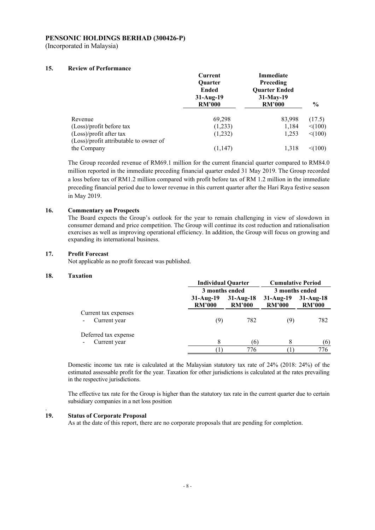(Incorporated in Malaysia)

### **15. Review of Performance**

|                                        | Current<br><b>Ouarter</b><br><b>Ended</b><br>$31-Aug-19$<br><b>RM'000</b> | Immediate<br><b>Preceding</b><br><b>Quarter Ended</b><br>31-May-19<br><b>RM'000</b> | $\frac{6}{9}$ |
|----------------------------------------|---------------------------------------------------------------------------|-------------------------------------------------------------------------------------|---------------|
| Revenue                                | 69,298                                                                    | 83,998                                                                              | (17.5)        |
| (Loss)/profit before tax               | (1,233)                                                                   | 1,184                                                                               | < (100)       |
| (Loss)/profit after tax                | (1,232)                                                                   | 1,253                                                                               | $\leq (100)$  |
| (Loss)/profit attributable to owner of |                                                                           |                                                                                     |               |
| the Company                            | (1, 147)                                                                  | 1.318                                                                               | < (100)       |

The Group recorded revenue of RM69.1 million for the current financial quarter compared to RM84.0 million reported in the immediate preceding financial quarter ended 31 May 2019. The Group recorded a loss before tax of RM1.2 million compared with profit before tax of RM 1.2 million in the immediate preceding financial period due to lower revenue in this current quarter after the Hari Raya festive season in May 2019.

### **16. Commentary on Prospects**

The Board expects the Group's outlook for the year to remain challenging in view of slowdown in consumer demand and price competition. The Group will continue its cost reduction and rationalisation exercises as well as improving operational efficiency. In addition, the Group will focus on growing and expanding its international business.

### **17. Profit Forecast**

Not applicable as no profit forecast was published.

### **18. Taxation**

.

|                                      |                              | <b>Individual Quarter</b>    |                              | <b>Cumulative Period</b>     |  |  |
|--------------------------------------|------------------------------|------------------------------|------------------------------|------------------------------|--|--|
|                                      | 3 months ended               |                              | 3 months ended               |                              |  |  |
|                                      | $31-Au2-19$<br><b>RM'000</b> | $31-Au2-18$<br><b>RM'000</b> | $31-Au2-19$<br><b>RM'000</b> | $31-Au2-18$<br><b>RM'000</b> |  |  |
| Current tax expenses<br>Current year | (9)                          | 782                          | (9)                          | 782                          |  |  |
| Deferred tax expense<br>Current year | 8                            | (6)                          | 8                            | (6)                          |  |  |
|                                      |                              | 776                          |                              | 776                          |  |  |

Domestic income tax rate is calculated at the Malaysian statutory tax rate of 24% (2018: 24%) of the estimated assessable profit for the year. Taxation for other jurisdictions is calculated at the rates prevailing in the respective jurisdictions.

The effective tax rate for the Group is higher than the statutory tax rate in the current quarter due to certain subsidiary companies in a net loss position

### **19. Status of Corporate Proposal**

As at the date of this report, there are no corporate proposals that are pending for completion.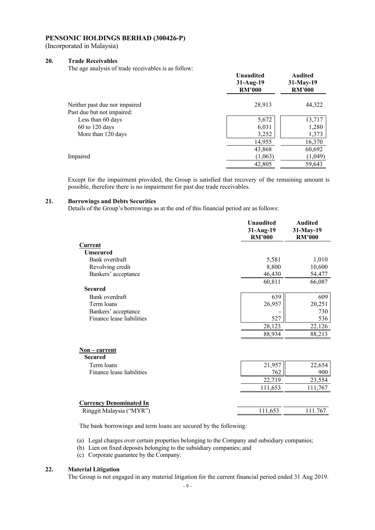(Incorporated in Malaysia)

### **20. Trade Receivables**

The age analysis of trade receivables is as follow:

|                               | <b>Unaudited</b><br>$31-Aug-19$<br><b>RM'000</b> | Audited<br>$31$ -May-19<br><b>RM'000</b> |
|-------------------------------|--------------------------------------------------|------------------------------------------|
| Neither past due nor impaired | 28,913                                           | 44,322                                   |
| Past due but not impaired:    |                                                  |                                          |
| Less than 60 days             | 5,672                                            | 13,717                                   |
| 60 to 120 days                | 6,031                                            | 1,280                                    |
| More than 120 days            | 3,252                                            | 1,373                                    |
|                               | 14,955                                           | 16,370                                   |
|                               | 43,868                                           | 60,692                                   |
| Impaired                      | (1,063)                                          | (1,049)                                  |
|                               | 42,805                                           | 59,643                                   |

Except for the impairment provided, the Group is satisfied that recovery of the remaining amount is possible, therefore there is no impairment for past due trade receivables.

#### **21. Borrowings and Debts Securities**

Details of the Group's borrowings as at the end of this financial period are as follows:

|                                   | <b>Unaudited</b><br>31-Aug-19<br><b>RM'000</b> | <b>Audited</b><br>31-May-19<br><b>RM'000</b> |
|-----------------------------------|------------------------------------------------|----------------------------------------------|
| Current                           |                                                |                                              |
| <b>Unsecured</b>                  |                                                |                                              |
| Bank overdraft                    | 5,581                                          | 1,010                                        |
| Revolving credit                  | 8,800                                          | 10,600                                       |
| Bankers' acceptance               | 46,430                                         | 54,477                                       |
|                                   | 60,811                                         | 66,087                                       |
| <b>Secured</b>                    |                                                |                                              |
| Bank overdraft                    | 639                                            | 609                                          |
| Term loans                        | 26,957                                         | 20,251                                       |
| Bankers' acceptance               |                                                | 730                                          |
| Finance lease liabilities         | 527                                            | 536                                          |
|                                   | 28,123                                         | 22,126                                       |
|                                   | 88,934                                         | 88,213                                       |
| $Non$ – current<br><b>Secured</b> |                                                |                                              |
| Term loans                        | 21,957                                         | 22,654                                       |
| Finance lease liabilities         | 762                                            | 900                                          |
|                                   | 22,719                                         | 23,554                                       |
|                                   | 111,653                                        | 111,767                                      |
| <b>Currency Denominated In</b>    |                                                |                                              |
| Ringgit Malaysia ("MYR")          | 111,653                                        | 111.767                                      |

The bank borrowings and term loans are secured by the following:

- (a) Legal charges over certain properties belonging to the Company and subsidiary companies;
- (b) Lien on fixed deposits belonging to the subsidiary companies; and
- (c) Corporate guarantee by the Company.

### **22. Material Litigation**

The Group is not engaged in any material litigation for the current financial period ended 31 Aug 2019.